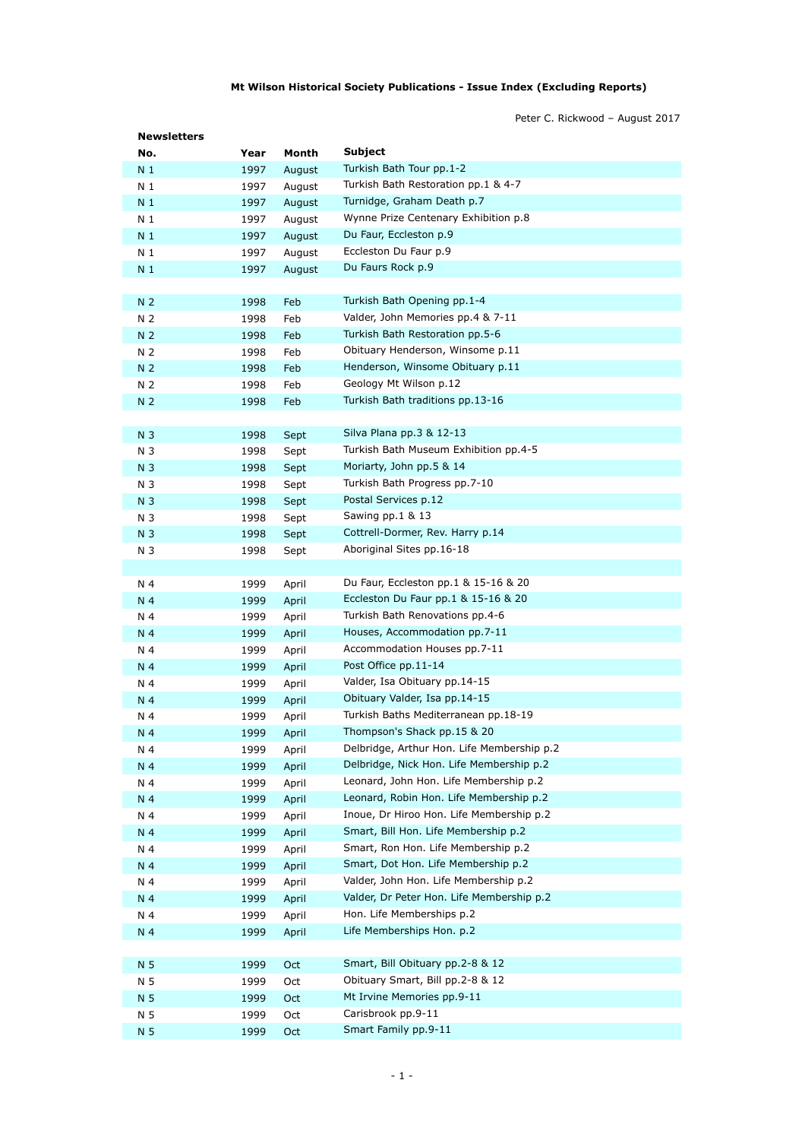## **Mt Wilson Historical Society Publications - Issue Index (Excluding Reports)**

Peter C. Rickwood – August 2017

| <b>Newsletters</b>    |              |                |                                            |
|-----------------------|--------------|----------------|--------------------------------------------|
| No.                   | Year         | Month          | Subject                                    |
| N <sub>1</sub>        | 1997         | August         | Turkish Bath Tour pp.1-2                   |
| N 1                   | 1997         | August         | Turkish Bath Restoration pp.1 & 4-7        |
| N <sub>1</sub>        | 1997         | August         | Turnidge, Graham Death p.7                 |
| N <sub>1</sub>        | 1997         | August         | Wynne Prize Centenary Exhibition p.8       |
| N <sub>1</sub>        | 1997         | August         | Du Faur, Eccleston p.9                     |
| N <sub>1</sub>        | 1997         | August         | Eccleston Du Faur p.9                      |
| N 1                   | 1997         | August         | Du Faurs Rock p.9                          |
| N <sub>2</sub>        | 1998         | Feb            | Turkish Bath Opening pp.1-4                |
| N 2                   | 1998         | Feb            | Valder, John Memories pp.4 & 7-11          |
| N <sub>2</sub>        | 1998         | Feb            | Turkish Bath Restoration pp.5-6            |
| N 2                   | 1998         | Feb            | Obituary Henderson, Winsome p.11           |
| N <sub>2</sub>        | 1998         | Feb            | Henderson, Winsome Obituary p.11           |
| N 2                   | 1998         | Feb            | Geology Mt Wilson p.12                     |
| N <sub>2</sub>        | 1998         | Feb            | Turkish Bath traditions pp.13-16           |
|                       |              |                |                                            |
| N <sub>3</sub>        | 1998         | Sept           | Silva Plana pp.3 & 12-13                   |
| N 3                   | 1998         | Sept           | Turkish Bath Museum Exhibition pp.4-5      |
| N <sub>3</sub>        | 1998         | Sept           | Moriarty, John pp.5 & 14                   |
| N 3                   | 1998         | Sept           | Turkish Bath Progress pp.7-10              |
| N <sub>3</sub>        | 1998         | Sept           | Postal Services p.12                       |
| N 3                   | 1998         | Sept           | Sawing pp.1 & 13                           |
| N <sub>3</sub>        | 1998         | Sept           | Cottrell-Dormer, Rev. Harry p.14           |
| N 3                   | 1998         | Sept           | Aboriginal Sites pp.16-18                  |
|                       |              |                | Du Faur, Eccleston pp.1 & 15-16 & 20       |
| N 4                   | 1999         | April          | Eccleston Du Faur pp.1 & 15-16 & 20        |
| N <sub>4</sub><br>N 4 | 1999<br>1999 | April<br>April | Turkish Bath Renovations pp.4-6            |
| N 4                   | 1999         | April          | Houses, Accommodation pp.7-11              |
| N 4                   | 1999         | April          | Accommodation Houses pp.7-11               |
| N 4                   | 1999         | April          | Post Office pp.11-14                       |
| N 4                   | 1999         | April          | Valder, Isa Obituary pp.14-15              |
| N 4                   | 1999         | April          | Obituary Valder, Isa pp.14-15              |
| N 4                   | 1999         | April          | Turkish Baths Mediterranean pp.18-19       |
| N 4                   | 1999         | April          | Thompson's Shack pp.15 & 20                |
| N 4                   | 1999         | April          | Delbridge, Arthur Hon. Life Membership p.2 |
| N 4                   | 1999         | April          | Delbridge, Nick Hon. Life Membership p.2   |
| N 4                   | 1999         | April          | Leonard, John Hon. Life Membership p.2     |
| N 4                   | 1999         | April          | Leonard, Robin Hon. Life Membership p.2    |
| N 4                   | 1999         | April          | Inoue, Dr Hiroo Hon. Life Membership p.2   |
| N 4                   | 1999         | April          | Smart, Bill Hon. Life Membership p.2       |
| N 4                   | 1999         | April          | Smart, Ron Hon. Life Membership p.2        |
| N <sub>4</sub>        | 1999         | April          | Smart, Dot Hon. Life Membership p.2        |
| N 4                   | 1999         | April          | Valder, John Hon. Life Membership p.2      |
| N 4                   | 1999         | April          | Valder, Dr Peter Hon. Life Membership p.2  |
| N 4                   | 1999         | April          | Hon. Life Memberships p.2                  |
| N 4                   | 1999         | April          | Life Memberships Hon. p.2                  |
|                       |              |                |                                            |
| N 5                   | 1999         | Oct            | Smart, Bill Obituary pp.2-8 & 12           |
| N 5                   | 1999         | Oct            | Obituary Smart, Bill pp.2-8 & 12           |
| N 5                   | 1999         | Oct            | Mt Irvine Memories pp.9-11                 |
| N 5                   | 1999         | Oct            | Carisbrook pp.9-11                         |
| N <sub>5</sub>        | 1999         | Oct            | Smart Family pp.9-11                       |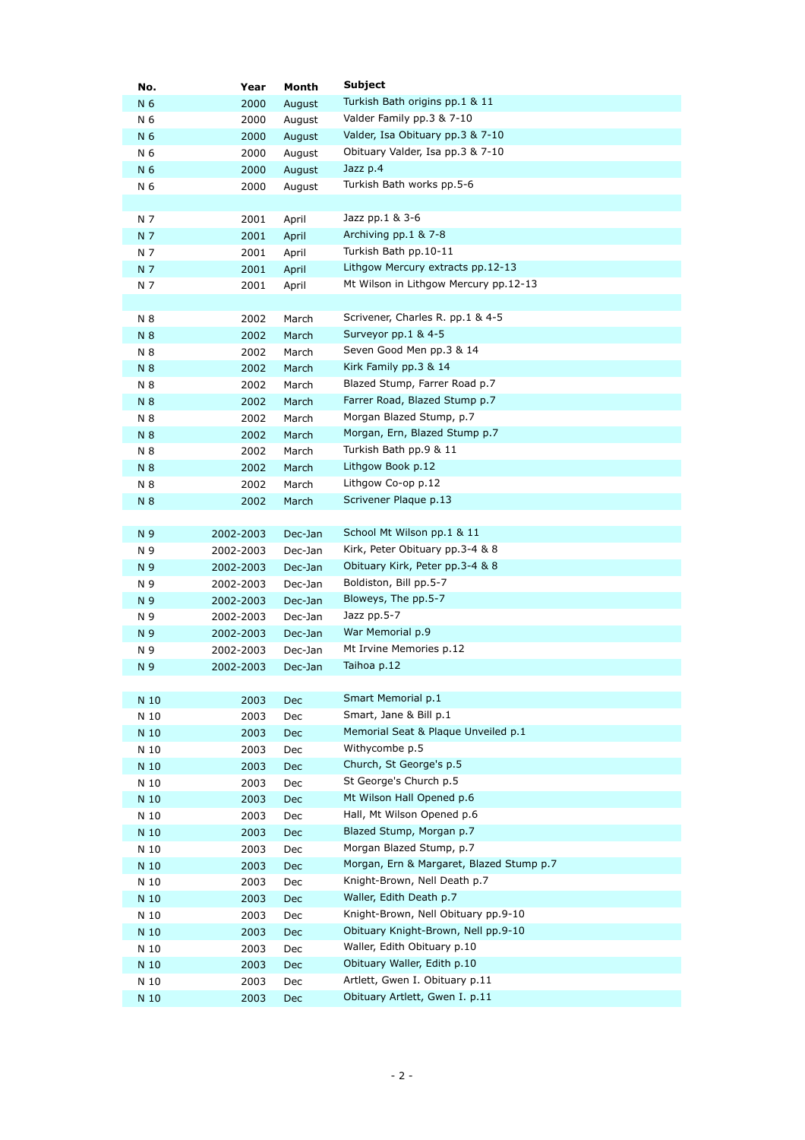| Turkish Bath origins pp.1 & 11<br>N 6<br>2000<br>August<br>Valder Family pp.3 & 7-10<br>N 6<br>2000<br>August<br>Valder, Isa Obituary pp.3 & 7-10<br>N 6<br>2000<br>August<br>Obituary Valder, Isa pp.3 & 7-10<br>N 6<br>2000<br>August<br>Jazz p.4<br>N 6<br>2000<br>August<br>Turkish Bath works pp.5-6<br>N 6<br>2000<br>August<br>Jazz pp.1 & 3-6<br>N 7<br>2001<br>April<br>Archiving pp.1 & 7-8<br>N 7<br>2001<br>April<br>Turkish Bath pp.10-11<br>N 7<br>2001<br>April<br>Lithgow Mercury extracts pp.12-13<br>N 7<br>2001<br>April<br>Mt Wilson in Lithgow Mercury pp.12-13<br>N 7<br>2001<br>April<br>Scrivener, Charles R. pp.1 & 4-5<br>N 8<br>2002<br>March<br>Surveyor pp.1 & 4-5<br>N 8<br>2002<br>March<br>Seven Good Men pp.3 & 14<br>N 8<br>2002<br>March<br>Kirk Family pp.3 & 14<br>N 8<br>2002<br>March<br>Blazed Stump, Farrer Road p.7<br>N 8<br>2002<br>March<br>Farrer Road, Blazed Stump p.7<br>N 8<br>2002<br>March<br>Morgan Blazed Stump, p.7<br>N 8<br>2002<br>March<br>Morgan, Ern, Blazed Stump p.7<br>N 8<br>2002<br>March<br>Turkish Bath pp.9 & 11<br>N 8<br>2002<br>March<br>Lithgow Book p.12<br>N 8<br>2002<br>March<br>Lithgow Co-op p.12<br>N 8<br>2002<br>March<br>Scrivener Plaque p.13<br>2002<br>N 8<br>March<br>School Mt Wilson pp.1 & 11<br>N 9<br>2002-2003<br>Dec-Jan<br>Kirk, Peter Obituary pp.3-4 & 8<br>N 9<br>2002-2003<br>Dec-Jan<br>Obituary Kirk, Peter pp.3-4 & 8<br>N 9<br>2002-2003<br>Dec-Jan<br>Boldiston, Bill pp.5-7<br>N 9<br>2002-2003<br>Dec-Jan<br>Bloweys, The pp.5-7<br>N 9<br>2002-2003<br>Dec-Jan<br>Jazz pp.5-7<br>N 9<br>2002-2003<br>Dec-Jan<br>War Memorial p.9<br>N 9<br>2002-2003<br>Dec-Jan<br>Mt Irvine Memories p.12<br>N 9<br>2002-2003<br>Dec-Jan<br>Taihoa p.12<br>N 9<br>2002-2003<br>Dec-Jan<br>Smart Memorial p.1<br>2003<br>N 10<br><b>Dec</b><br>Smart, Jane & Bill p.1<br>N 10<br>2003<br>Dec<br>Memorial Seat & Plaque Unveiled p.1<br>N 10<br>2003<br><b>Dec</b><br>Withycombe p.5<br>N 10<br>2003<br>Dec<br>Church, St George's p.5<br>N 10<br>2003<br>Dec<br>St George's Church p.5<br>N 10<br>2003<br>$\mathsf{Dec}$<br>Mt Wilson Hall Opened p.6<br>N 10<br>2003<br>Dec<br>Hall, Mt Wilson Opened p.6<br>N 10<br>2003<br>Dec<br>Blazed Stump, Morgan p.7<br>N 10<br>2003<br><b>Dec</b><br>Morgan Blazed Stump, p.7<br>N 10<br>2003<br>Dec<br>Morgan, Ern & Margaret, Blazed Stump p.7<br>N 10<br>2003<br>Dec<br>Knight-Brown, Nell Death p.7<br>N 10<br>2003<br>Dec | No.  | Year | Month | Subject                        |
|---------------------------------------------------------------------------------------------------------------------------------------------------------------------------------------------------------------------------------------------------------------------------------------------------------------------------------------------------------------------------------------------------------------------------------------------------------------------------------------------------------------------------------------------------------------------------------------------------------------------------------------------------------------------------------------------------------------------------------------------------------------------------------------------------------------------------------------------------------------------------------------------------------------------------------------------------------------------------------------------------------------------------------------------------------------------------------------------------------------------------------------------------------------------------------------------------------------------------------------------------------------------------------------------------------------------------------------------------------------------------------------------------------------------------------------------------------------------------------------------------------------------------------------------------------------------------------------------------------------------------------------------------------------------------------------------------------------------------------------------------------------------------------------------------------------------------------------------------------------------------------------------------------------------------------------------------------------------------------------------------------------------------------------------------------------------------------------------------------------------------------------------------------------------------------------------------------------------------------------------------------------------------------------------------------------------------------------------------------------------------------------------------------------------------------------------------------------------|------|------|-------|--------------------------------|
|                                                                                                                                                                                                                                                                                                                                                                                                                                                                                                                                                                                                                                                                                                                                                                                                                                                                                                                                                                                                                                                                                                                                                                                                                                                                                                                                                                                                                                                                                                                                                                                                                                                                                                                                                                                                                                                                                                                                                                                                                                                                                                                                                                                                                                                                                                                                                                                                                                                                     |      |      |       |                                |
|                                                                                                                                                                                                                                                                                                                                                                                                                                                                                                                                                                                                                                                                                                                                                                                                                                                                                                                                                                                                                                                                                                                                                                                                                                                                                                                                                                                                                                                                                                                                                                                                                                                                                                                                                                                                                                                                                                                                                                                                                                                                                                                                                                                                                                                                                                                                                                                                                                                                     |      |      |       |                                |
|                                                                                                                                                                                                                                                                                                                                                                                                                                                                                                                                                                                                                                                                                                                                                                                                                                                                                                                                                                                                                                                                                                                                                                                                                                                                                                                                                                                                                                                                                                                                                                                                                                                                                                                                                                                                                                                                                                                                                                                                                                                                                                                                                                                                                                                                                                                                                                                                                                                                     |      |      |       |                                |
|                                                                                                                                                                                                                                                                                                                                                                                                                                                                                                                                                                                                                                                                                                                                                                                                                                                                                                                                                                                                                                                                                                                                                                                                                                                                                                                                                                                                                                                                                                                                                                                                                                                                                                                                                                                                                                                                                                                                                                                                                                                                                                                                                                                                                                                                                                                                                                                                                                                                     |      |      |       |                                |
|                                                                                                                                                                                                                                                                                                                                                                                                                                                                                                                                                                                                                                                                                                                                                                                                                                                                                                                                                                                                                                                                                                                                                                                                                                                                                                                                                                                                                                                                                                                                                                                                                                                                                                                                                                                                                                                                                                                                                                                                                                                                                                                                                                                                                                                                                                                                                                                                                                                                     |      |      |       |                                |
|                                                                                                                                                                                                                                                                                                                                                                                                                                                                                                                                                                                                                                                                                                                                                                                                                                                                                                                                                                                                                                                                                                                                                                                                                                                                                                                                                                                                                                                                                                                                                                                                                                                                                                                                                                                                                                                                                                                                                                                                                                                                                                                                                                                                                                                                                                                                                                                                                                                                     |      |      |       |                                |
|                                                                                                                                                                                                                                                                                                                                                                                                                                                                                                                                                                                                                                                                                                                                                                                                                                                                                                                                                                                                                                                                                                                                                                                                                                                                                                                                                                                                                                                                                                                                                                                                                                                                                                                                                                                                                                                                                                                                                                                                                                                                                                                                                                                                                                                                                                                                                                                                                                                                     |      |      |       |                                |
|                                                                                                                                                                                                                                                                                                                                                                                                                                                                                                                                                                                                                                                                                                                                                                                                                                                                                                                                                                                                                                                                                                                                                                                                                                                                                                                                                                                                                                                                                                                                                                                                                                                                                                                                                                                                                                                                                                                                                                                                                                                                                                                                                                                                                                                                                                                                                                                                                                                                     |      |      |       |                                |
|                                                                                                                                                                                                                                                                                                                                                                                                                                                                                                                                                                                                                                                                                                                                                                                                                                                                                                                                                                                                                                                                                                                                                                                                                                                                                                                                                                                                                                                                                                                                                                                                                                                                                                                                                                                                                                                                                                                                                                                                                                                                                                                                                                                                                                                                                                                                                                                                                                                                     |      |      |       |                                |
|                                                                                                                                                                                                                                                                                                                                                                                                                                                                                                                                                                                                                                                                                                                                                                                                                                                                                                                                                                                                                                                                                                                                                                                                                                                                                                                                                                                                                                                                                                                                                                                                                                                                                                                                                                                                                                                                                                                                                                                                                                                                                                                                                                                                                                                                                                                                                                                                                                                                     |      |      |       |                                |
|                                                                                                                                                                                                                                                                                                                                                                                                                                                                                                                                                                                                                                                                                                                                                                                                                                                                                                                                                                                                                                                                                                                                                                                                                                                                                                                                                                                                                                                                                                                                                                                                                                                                                                                                                                                                                                                                                                                                                                                                                                                                                                                                                                                                                                                                                                                                                                                                                                                                     |      |      |       |                                |
|                                                                                                                                                                                                                                                                                                                                                                                                                                                                                                                                                                                                                                                                                                                                                                                                                                                                                                                                                                                                                                                                                                                                                                                                                                                                                                                                                                                                                                                                                                                                                                                                                                                                                                                                                                                                                                                                                                                                                                                                                                                                                                                                                                                                                                                                                                                                                                                                                                                                     |      |      |       |                                |
|                                                                                                                                                                                                                                                                                                                                                                                                                                                                                                                                                                                                                                                                                                                                                                                                                                                                                                                                                                                                                                                                                                                                                                                                                                                                                                                                                                                                                                                                                                                                                                                                                                                                                                                                                                                                                                                                                                                                                                                                                                                                                                                                                                                                                                                                                                                                                                                                                                                                     |      |      |       |                                |
|                                                                                                                                                                                                                                                                                                                                                                                                                                                                                                                                                                                                                                                                                                                                                                                                                                                                                                                                                                                                                                                                                                                                                                                                                                                                                                                                                                                                                                                                                                                                                                                                                                                                                                                                                                                                                                                                                                                                                                                                                                                                                                                                                                                                                                                                                                                                                                                                                                                                     |      |      |       |                                |
|                                                                                                                                                                                                                                                                                                                                                                                                                                                                                                                                                                                                                                                                                                                                                                                                                                                                                                                                                                                                                                                                                                                                                                                                                                                                                                                                                                                                                                                                                                                                                                                                                                                                                                                                                                                                                                                                                                                                                                                                                                                                                                                                                                                                                                                                                                                                                                                                                                                                     |      |      |       |                                |
|                                                                                                                                                                                                                                                                                                                                                                                                                                                                                                                                                                                                                                                                                                                                                                                                                                                                                                                                                                                                                                                                                                                                                                                                                                                                                                                                                                                                                                                                                                                                                                                                                                                                                                                                                                                                                                                                                                                                                                                                                                                                                                                                                                                                                                                                                                                                                                                                                                                                     |      |      |       |                                |
|                                                                                                                                                                                                                                                                                                                                                                                                                                                                                                                                                                                                                                                                                                                                                                                                                                                                                                                                                                                                                                                                                                                                                                                                                                                                                                                                                                                                                                                                                                                                                                                                                                                                                                                                                                                                                                                                                                                                                                                                                                                                                                                                                                                                                                                                                                                                                                                                                                                                     |      |      |       |                                |
|                                                                                                                                                                                                                                                                                                                                                                                                                                                                                                                                                                                                                                                                                                                                                                                                                                                                                                                                                                                                                                                                                                                                                                                                                                                                                                                                                                                                                                                                                                                                                                                                                                                                                                                                                                                                                                                                                                                                                                                                                                                                                                                                                                                                                                                                                                                                                                                                                                                                     |      |      |       |                                |
|                                                                                                                                                                                                                                                                                                                                                                                                                                                                                                                                                                                                                                                                                                                                                                                                                                                                                                                                                                                                                                                                                                                                                                                                                                                                                                                                                                                                                                                                                                                                                                                                                                                                                                                                                                                                                                                                                                                                                                                                                                                                                                                                                                                                                                                                                                                                                                                                                                                                     |      |      |       |                                |
|                                                                                                                                                                                                                                                                                                                                                                                                                                                                                                                                                                                                                                                                                                                                                                                                                                                                                                                                                                                                                                                                                                                                                                                                                                                                                                                                                                                                                                                                                                                                                                                                                                                                                                                                                                                                                                                                                                                                                                                                                                                                                                                                                                                                                                                                                                                                                                                                                                                                     |      |      |       |                                |
|                                                                                                                                                                                                                                                                                                                                                                                                                                                                                                                                                                                                                                                                                                                                                                                                                                                                                                                                                                                                                                                                                                                                                                                                                                                                                                                                                                                                                                                                                                                                                                                                                                                                                                                                                                                                                                                                                                                                                                                                                                                                                                                                                                                                                                                                                                                                                                                                                                                                     |      |      |       |                                |
|                                                                                                                                                                                                                                                                                                                                                                                                                                                                                                                                                                                                                                                                                                                                                                                                                                                                                                                                                                                                                                                                                                                                                                                                                                                                                                                                                                                                                                                                                                                                                                                                                                                                                                                                                                                                                                                                                                                                                                                                                                                                                                                                                                                                                                                                                                                                                                                                                                                                     |      |      |       |                                |
|                                                                                                                                                                                                                                                                                                                                                                                                                                                                                                                                                                                                                                                                                                                                                                                                                                                                                                                                                                                                                                                                                                                                                                                                                                                                                                                                                                                                                                                                                                                                                                                                                                                                                                                                                                                                                                                                                                                                                                                                                                                                                                                                                                                                                                                                                                                                                                                                                                                                     |      |      |       |                                |
|                                                                                                                                                                                                                                                                                                                                                                                                                                                                                                                                                                                                                                                                                                                                                                                                                                                                                                                                                                                                                                                                                                                                                                                                                                                                                                                                                                                                                                                                                                                                                                                                                                                                                                                                                                                                                                                                                                                                                                                                                                                                                                                                                                                                                                                                                                                                                                                                                                                                     |      |      |       |                                |
|                                                                                                                                                                                                                                                                                                                                                                                                                                                                                                                                                                                                                                                                                                                                                                                                                                                                                                                                                                                                                                                                                                                                                                                                                                                                                                                                                                                                                                                                                                                                                                                                                                                                                                                                                                                                                                                                                                                                                                                                                                                                                                                                                                                                                                                                                                                                                                                                                                                                     |      |      |       |                                |
|                                                                                                                                                                                                                                                                                                                                                                                                                                                                                                                                                                                                                                                                                                                                                                                                                                                                                                                                                                                                                                                                                                                                                                                                                                                                                                                                                                                                                                                                                                                                                                                                                                                                                                                                                                                                                                                                                                                                                                                                                                                                                                                                                                                                                                                                                                                                                                                                                                                                     |      |      |       |                                |
|                                                                                                                                                                                                                                                                                                                                                                                                                                                                                                                                                                                                                                                                                                                                                                                                                                                                                                                                                                                                                                                                                                                                                                                                                                                                                                                                                                                                                                                                                                                                                                                                                                                                                                                                                                                                                                                                                                                                                                                                                                                                                                                                                                                                                                                                                                                                                                                                                                                                     |      |      |       |                                |
|                                                                                                                                                                                                                                                                                                                                                                                                                                                                                                                                                                                                                                                                                                                                                                                                                                                                                                                                                                                                                                                                                                                                                                                                                                                                                                                                                                                                                                                                                                                                                                                                                                                                                                                                                                                                                                                                                                                                                                                                                                                                                                                                                                                                                                                                                                                                                                                                                                                                     |      |      |       |                                |
|                                                                                                                                                                                                                                                                                                                                                                                                                                                                                                                                                                                                                                                                                                                                                                                                                                                                                                                                                                                                                                                                                                                                                                                                                                                                                                                                                                                                                                                                                                                                                                                                                                                                                                                                                                                                                                                                                                                                                                                                                                                                                                                                                                                                                                                                                                                                                                                                                                                                     |      |      |       |                                |
|                                                                                                                                                                                                                                                                                                                                                                                                                                                                                                                                                                                                                                                                                                                                                                                                                                                                                                                                                                                                                                                                                                                                                                                                                                                                                                                                                                                                                                                                                                                                                                                                                                                                                                                                                                                                                                                                                                                                                                                                                                                                                                                                                                                                                                                                                                                                                                                                                                                                     |      |      |       |                                |
|                                                                                                                                                                                                                                                                                                                                                                                                                                                                                                                                                                                                                                                                                                                                                                                                                                                                                                                                                                                                                                                                                                                                                                                                                                                                                                                                                                                                                                                                                                                                                                                                                                                                                                                                                                                                                                                                                                                                                                                                                                                                                                                                                                                                                                                                                                                                                                                                                                                                     |      |      |       |                                |
|                                                                                                                                                                                                                                                                                                                                                                                                                                                                                                                                                                                                                                                                                                                                                                                                                                                                                                                                                                                                                                                                                                                                                                                                                                                                                                                                                                                                                                                                                                                                                                                                                                                                                                                                                                                                                                                                                                                                                                                                                                                                                                                                                                                                                                                                                                                                                                                                                                                                     |      |      |       |                                |
|                                                                                                                                                                                                                                                                                                                                                                                                                                                                                                                                                                                                                                                                                                                                                                                                                                                                                                                                                                                                                                                                                                                                                                                                                                                                                                                                                                                                                                                                                                                                                                                                                                                                                                                                                                                                                                                                                                                                                                                                                                                                                                                                                                                                                                                                                                                                                                                                                                                                     |      |      |       |                                |
|                                                                                                                                                                                                                                                                                                                                                                                                                                                                                                                                                                                                                                                                                                                                                                                                                                                                                                                                                                                                                                                                                                                                                                                                                                                                                                                                                                                                                                                                                                                                                                                                                                                                                                                                                                                                                                                                                                                                                                                                                                                                                                                                                                                                                                                                                                                                                                                                                                                                     |      |      |       |                                |
|                                                                                                                                                                                                                                                                                                                                                                                                                                                                                                                                                                                                                                                                                                                                                                                                                                                                                                                                                                                                                                                                                                                                                                                                                                                                                                                                                                                                                                                                                                                                                                                                                                                                                                                                                                                                                                                                                                                                                                                                                                                                                                                                                                                                                                                                                                                                                                                                                                                                     |      |      |       |                                |
|                                                                                                                                                                                                                                                                                                                                                                                                                                                                                                                                                                                                                                                                                                                                                                                                                                                                                                                                                                                                                                                                                                                                                                                                                                                                                                                                                                                                                                                                                                                                                                                                                                                                                                                                                                                                                                                                                                                                                                                                                                                                                                                                                                                                                                                                                                                                                                                                                                                                     |      |      |       |                                |
|                                                                                                                                                                                                                                                                                                                                                                                                                                                                                                                                                                                                                                                                                                                                                                                                                                                                                                                                                                                                                                                                                                                                                                                                                                                                                                                                                                                                                                                                                                                                                                                                                                                                                                                                                                                                                                                                                                                                                                                                                                                                                                                                                                                                                                                                                                                                                                                                                                                                     |      |      |       |                                |
|                                                                                                                                                                                                                                                                                                                                                                                                                                                                                                                                                                                                                                                                                                                                                                                                                                                                                                                                                                                                                                                                                                                                                                                                                                                                                                                                                                                                                                                                                                                                                                                                                                                                                                                                                                                                                                                                                                                                                                                                                                                                                                                                                                                                                                                                                                                                                                                                                                                                     |      |      |       |                                |
|                                                                                                                                                                                                                                                                                                                                                                                                                                                                                                                                                                                                                                                                                                                                                                                                                                                                                                                                                                                                                                                                                                                                                                                                                                                                                                                                                                                                                                                                                                                                                                                                                                                                                                                                                                                                                                                                                                                                                                                                                                                                                                                                                                                                                                                                                                                                                                                                                                                                     |      |      |       |                                |
|                                                                                                                                                                                                                                                                                                                                                                                                                                                                                                                                                                                                                                                                                                                                                                                                                                                                                                                                                                                                                                                                                                                                                                                                                                                                                                                                                                                                                                                                                                                                                                                                                                                                                                                                                                                                                                                                                                                                                                                                                                                                                                                                                                                                                                                                                                                                                                                                                                                                     |      |      |       |                                |
|                                                                                                                                                                                                                                                                                                                                                                                                                                                                                                                                                                                                                                                                                                                                                                                                                                                                                                                                                                                                                                                                                                                                                                                                                                                                                                                                                                                                                                                                                                                                                                                                                                                                                                                                                                                                                                                                                                                                                                                                                                                                                                                                                                                                                                                                                                                                                                                                                                                                     |      |      |       |                                |
|                                                                                                                                                                                                                                                                                                                                                                                                                                                                                                                                                                                                                                                                                                                                                                                                                                                                                                                                                                                                                                                                                                                                                                                                                                                                                                                                                                                                                                                                                                                                                                                                                                                                                                                                                                                                                                                                                                                                                                                                                                                                                                                                                                                                                                                                                                                                                                                                                                                                     |      |      |       |                                |
|                                                                                                                                                                                                                                                                                                                                                                                                                                                                                                                                                                                                                                                                                                                                                                                                                                                                                                                                                                                                                                                                                                                                                                                                                                                                                                                                                                                                                                                                                                                                                                                                                                                                                                                                                                                                                                                                                                                                                                                                                                                                                                                                                                                                                                                                                                                                                                                                                                                                     |      |      |       |                                |
|                                                                                                                                                                                                                                                                                                                                                                                                                                                                                                                                                                                                                                                                                                                                                                                                                                                                                                                                                                                                                                                                                                                                                                                                                                                                                                                                                                                                                                                                                                                                                                                                                                                                                                                                                                                                                                                                                                                                                                                                                                                                                                                                                                                                                                                                                                                                                                                                                                                                     |      |      |       |                                |
|                                                                                                                                                                                                                                                                                                                                                                                                                                                                                                                                                                                                                                                                                                                                                                                                                                                                                                                                                                                                                                                                                                                                                                                                                                                                                                                                                                                                                                                                                                                                                                                                                                                                                                                                                                                                                                                                                                                                                                                                                                                                                                                                                                                                                                                                                                                                                                                                                                                                     |      |      |       |                                |
|                                                                                                                                                                                                                                                                                                                                                                                                                                                                                                                                                                                                                                                                                                                                                                                                                                                                                                                                                                                                                                                                                                                                                                                                                                                                                                                                                                                                                                                                                                                                                                                                                                                                                                                                                                                                                                                                                                                                                                                                                                                                                                                                                                                                                                                                                                                                                                                                                                                                     |      |      |       |                                |
|                                                                                                                                                                                                                                                                                                                                                                                                                                                                                                                                                                                                                                                                                                                                                                                                                                                                                                                                                                                                                                                                                                                                                                                                                                                                                                                                                                                                                                                                                                                                                                                                                                                                                                                                                                                                                                                                                                                                                                                                                                                                                                                                                                                                                                                                                                                                                                                                                                                                     |      |      |       |                                |
|                                                                                                                                                                                                                                                                                                                                                                                                                                                                                                                                                                                                                                                                                                                                                                                                                                                                                                                                                                                                                                                                                                                                                                                                                                                                                                                                                                                                                                                                                                                                                                                                                                                                                                                                                                                                                                                                                                                                                                                                                                                                                                                                                                                                                                                                                                                                                                                                                                                                     |      |      |       |                                |
| Waller, Edith Death p.7<br>N 10<br>2003<br>Dec                                                                                                                                                                                                                                                                                                                                                                                                                                                                                                                                                                                                                                                                                                                                                                                                                                                                                                                                                                                                                                                                                                                                                                                                                                                                                                                                                                                                                                                                                                                                                                                                                                                                                                                                                                                                                                                                                                                                                                                                                                                                                                                                                                                                                                                                                                                                                                                                                      |      |      |       |                                |
| Knight-Brown, Nell Obituary pp.9-10<br>N 10<br>2003<br>Dec                                                                                                                                                                                                                                                                                                                                                                                                                                                                                                                                                                                                                                                                                                                                                                                                                                                                                                                                                                                                                                                                                                                                                                                                                                                                                                                                                                                                                                                                                                                                                                                                                                                                                                                                                                                                                                                                                                                                                                                                                                                                                                                                                                                                                                                                                                                                                                                                          |      |      |       |                                |
| Obituary Knight-Brown, Nell pp.9-10<br>N 10<br>2003<br><b>Dec</b>                                                                                                                                                                                                                                                                                                                                                                                                                                                                                                                                                                                                                                                                                                                                                                                                                                                                                                                                                                                                                                                                                                                                                                                                                                                                                                                                                                                                                                                                                                                                                                                                                                                                                                                                                                                                                                                                                                                                                                                                                                                                                                                                                                                                                                                                                                                                                                                                   |      |      |       |                                |
| Waller, Edith Obituary p.10<br>N 10<br>2003<br>Dec                                                                                                                                                                                                                                                                                                                                                                                                                                                                                                                                                                                                                                                                                                                                                                                                                                                                                                                                                                                                                                                                                                                                                                                                                                                                                                                                                                                                                                                                                                                                                                                                                                                                                                                                                                                                                                                                                                                                                                                                                                                                                                                                                                                                                                                                                                                                                                                                                  |      |      |       |                                |
| Obituary Waller, Edith p.10<br>N 10<br>2003<br>Dec                                                                                                                                                                                                                                                                                                                                                                                                                                                                                                                                                                                                                                                                                                                                                                                                                                                                                                                                                                                                                                                                                                                                                                                                                                                                                                                                                                                                                                                                                                                                                                                                                                                                                                                                                                                                                                                                                                                                                                                                                                                                                                                                                                                                                                                                                                                                                                                                                  |      |      |       |                                |
|                                                                                                                                                                                                                                                                                                                                                                                                                                                                                                                                                                                                                                                                                                                                                                                                                                                                                                                                                                                                                                                                                                                                                                                                                                                                                                                                                                                                                                                                                                                                                                                                                                                                                                                                                                                                                                                                                                                                                                                                                                                                                                                                                                                                                                                                                                                                                                                                                                                                     | N 10 | 2003 |       | Artlett, Gwen I. Obituary p.11 |
| Dec                                                                                                                                                                                                                                                                                                                                                                                                                                                                                                                                                                                                                                                                                                                                                                                                                                                                                                                                                                                                                                                                                                                                                                                                                                                                                                                                                                                                                                                                                                                                                                                                                                                                                                                                                                                                                                                                                                                                                                                                                                                                                                                                                                                                                                                                                                                                                                                                                                                                 | N 10 | 2003 | Dec   | Obituary Artlett, Gwen I. p.11 |
|                                                                                                                                                                                                                                                                                                                                                                                                                                                                                                                                                                                                                                                                                                                                                                                                                                                                                                                                                                                                                                                                                                                                                                                                                                                                                                                                                                                                                                                                                                                                                                                                                                                                                                                                                                                                                                                                                                                                                                                                                                                                                                                                                                                                                                                                                                                                                                                                                                                                     |      |      |       |                                |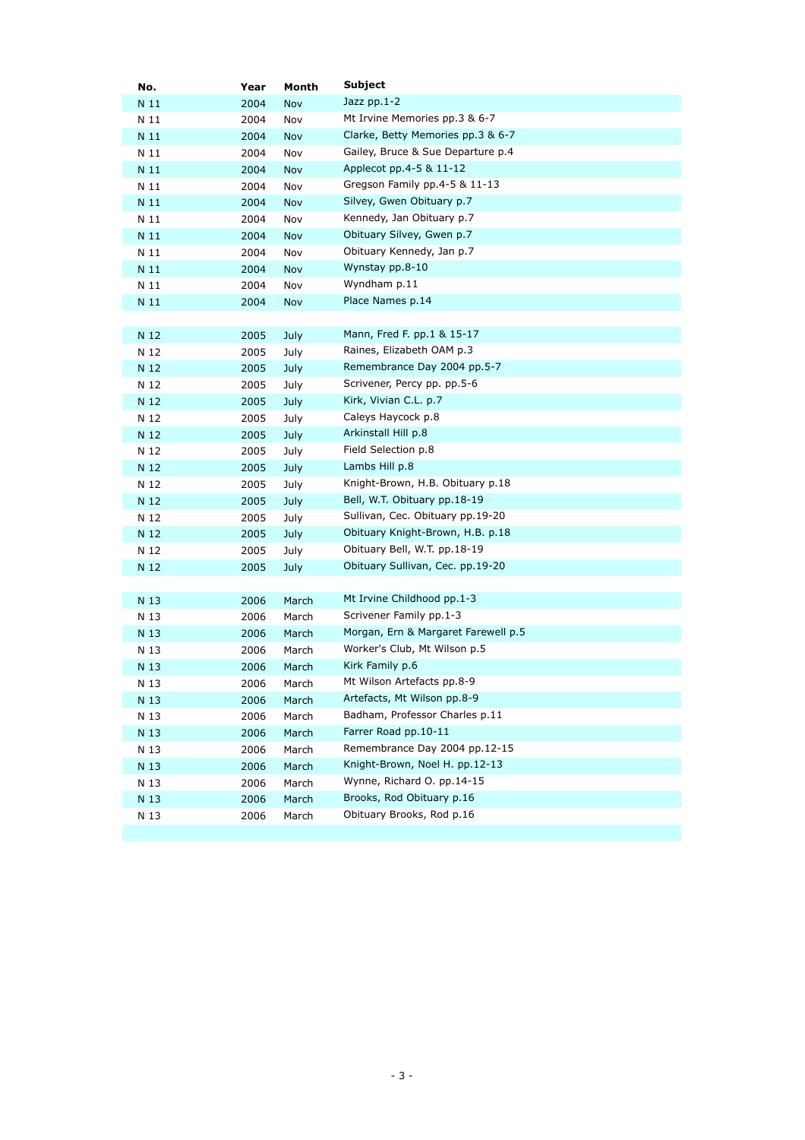| No.  | Year | Month      | Subject                             |
|------|------|------------|-------------------------------------|
| N 11 | 2004 | Nov        | Jazz pp.1-2                         |
| N 11 | 2004 | Nov        | Mt Irvine Memories pp.3 & 6-7       |
| N 11 | 2004 | Nov        | Clarke, Betty Memories pp.3 & 6-7   |
| N 11 | 2004 | Nov        | Gailey, Bruce & Sue Departure p.4   |
| N 11 | 2004 | Nov        | Applecot pp.4-5 & 11-12             |
| N 11 | 2004 | Nov        | Gregson Family pp.4-5 & 11-13       |
| N 11 | 2004 | Nov        | Silvey, Gwen Obituary p.7           |
| N 11 | 2004 | Nov        | Kennedy, Jan Obituary p.7           |
| N 11 | 2004 | Nov        | Obituary Silvey, Gwen p.7           |
| N 11 | 2004 | Nov        | Obituary Kennedy, Jan p.7           |
| N 11 | 2004 | <b>Nov</b> | Wynstay pp.8-10                     |
| N 11 | 2004 | Nov        | Wyndham p.11                        |
| N 11 | 2004 | Nov        | Place Names p.14                    |
|      |      |            |                                     |
| N 12 | 2005 | July       | Mann, Fred F. pp.1 & 15-17          |
| N 12 | 2005 | July       | Raines, Elizabeth OAM p.3           |
| N 12 | 2005 | July       | Remembrance Day 2004 pp.5-7         |
| N 12 | 2005 | July       | Scrivener, Percy pp. pp.5-6         |
| N 12 | 2005 | July       | Kirk, Vivian C.L. p.7               |
| N 12 | 2005 | July       | Caleys Haycock p.8                  |
| N 12 | 2005 | July       | Arkinstall Hill p.8                 |
| N 12 | 2005 | July       | Field Selection p.8                 |
| N 12 | 2005 | July       | Lambs Hill p.8                      |
| N 12 | 2005 | July       | Knight-Brown, H.B. Obituary p.18    |
| N 12 | 2005 | July       | Bell, W.T. Obituary pp.18-19        |
| N 12 | 2005 | July       | Sullivan, Cec. Obituary pp.19-20    |
| N 12 | 2005 | July       | Obituary Knight-Brown, H.B. p.18    |
| N 12 | 2005 | July       | Obituary Bell, W.T. pp.18-19        |
| N 12 | 2005 | July       | Obituary Sullivan, Cec. pp.19-20    |
|      |      |            |                                     |
| N 13 | 2006 | March      | Mt Irvine Childhood pp.1-3          |
| N 13 | 2006 | March      | Scrivener Family pp.1-3             |
| N 13 | 2006 | March      | Morgan, Ern & Margaret Farewell p.5 |
| N 13 | 2006 | March      | Worker's Club, Mt Wilson p.5        |
| N 13 | 2006 | March      | Kirk Family p.6                     |
| N 13 | 2006 | March      | Mt Wilson Artefacts pp.8-9          |
| N 13 | 2006 | March      | Artefacts, Mt Wilson pp.8-9         |
| N 13 | 2006 | March      | Badham, Professor Charles p.11      |
| N 13 | 2006 | March      | Farrer Road pp.10-11                |
| N 13 | 2006 | March      | Remembrance Day 2004 pp.12-15       |
| N 13 | 2006 | March      | Knight-Brown, Noel H. pp.12-13      |
| N 13 | 2006 | March      | Wynne, Richard O. pp.14-15          |
| N 13 | 2006 | March      | Brooks, Rod Obituary p.16           |
| N 13 | 2006 | March      | Obituary Brooks, Rod p.16           |
|      |      |            |                                     |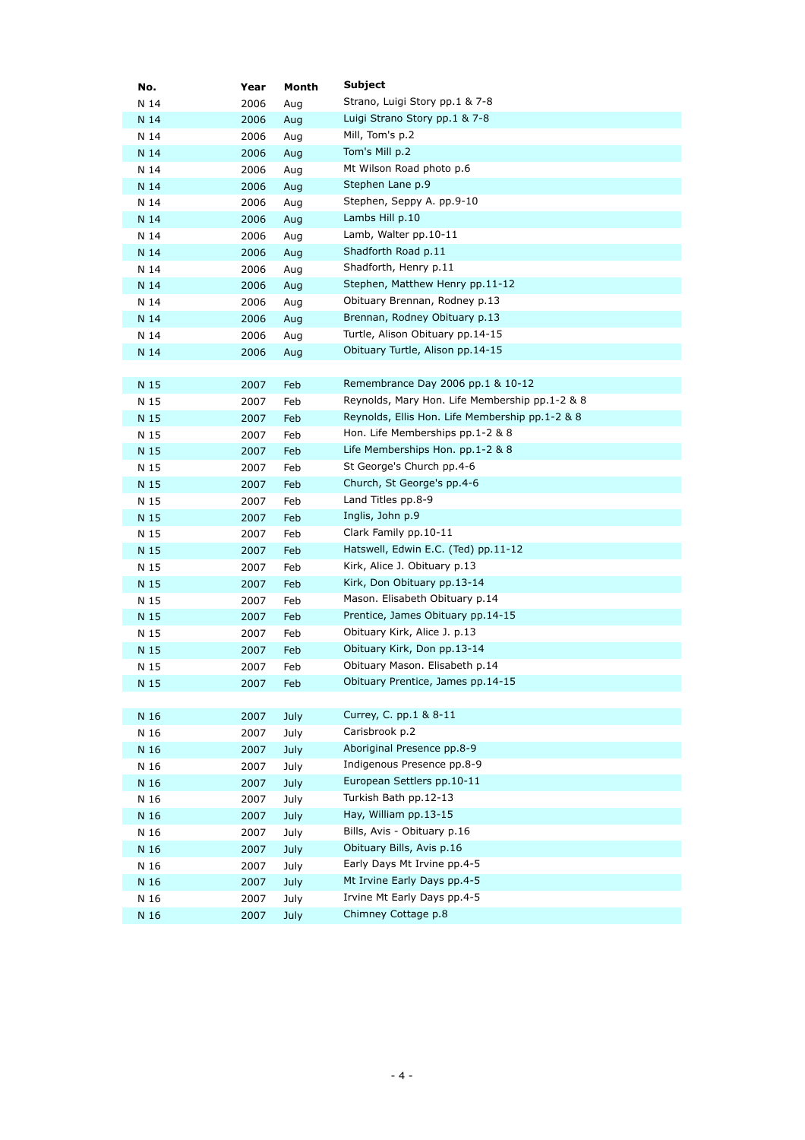| No.  | Year | Month       | <b>Subject</b>                                  |
|------|------|-------------|-------------------------------------------------|
| N 14 | 2006 | Aug         | Strano, Luigi Story pp.1 & 7-8                  |
| N 14 | 2006 | Aug         | Luigi Strano Story pp.1 & 7-8                   |
| N 14 | 2006 | Aug         | Mill, Tom's p.2                                 |
| N 14 | 2006 | Aug         | Tom's Mill p.2                                  |
| N 14 | 2006 | Aug         | Mt Wilson Road photo p.6                        |
| N 14 | 2006 | Aug         | Stephen Lane p.9                                |
| N 14 | 2006 | Aug         | Stephen, Seppy A. pp.9-10                       |
| N 14 | 2006 | Aug         | Lambs Hill p.10                                 |
| N 14 | 2006 | Aug         | Lamb, Walter pp.10-11                           |
| N 14 | 2006 | Aug         | Shadforth Road p.11                             |
| N 14 | 2006 | Aug         | Shadforth, Henry p.11                           |
| N 14 | 2006 | Aug         | Stephen, Matthew Henry pp.11-12                 |
| N 14 | 2006 | Aug         | Obituary Brennan, Rodney p.13                   |
| N 14 | 2006 | Aug         | Brennan, Rodney Obituary p.13                   |
| N 14 | 2006 | Aug         | Turtle, Alison Obituary pp.14-15                |
| N 14 | 2006 | Aug         | Obituary Turtle, Alison pp.14-15                |
|      |      |             |                                                 |
| N 15 | 2007 | Feb         | Remembrance Day 2006 pp.1 & 10-12               |
| N 15 | 2007 | Feb         | Reynolds, Mary Hon. Life Membership pp.1-2 & 8  |
| N 15 | 2007 | Feb         | Reynolds, Ellis Hon. Life Membership pp.1-2 & 8 |
| N 15 | 2007 | Feb         | Hon. Life Memberships pp.1-2 & 8                |
| N 15 | 2007 | Feb         | Life Memberships Hon. $pp.1-2$ & 8              |
| N 15 | 2007 | Feb         | St George's Church pp.4-6                       |
| N 15 | 2007 | Feb         | Church, St George's pp.4-6                      |
| N 15 | 2007 | Feb         | Land Titles pp.8-9                              |
| N 15 | 2007 | Feb         | Inglis, John p.9                                |
| N 15 | 2007 | Feb         | Clark Family pp.10-11                           |
| N 15 | 2007 | Feb         | Hatswell, Edwin E.C. (Ted) pp.11-12             |
| N 15 | 2007 | Feb         | Kirk, Alice J. Obituary p.13                    |
| N 15 | 2007 | Feb         | Kirk, Don Obituary pp.13-14                     |
| N 15 | 2007 | Feb         | Mason. Elisabeth Obituary p.14                  |
| N 15 | 2007 | Feb         | Prentice, James Obituary pp.14-15               |
| N 15 | 2007 | Feb         | Obituary Kirk, Alice J. p.13                    |
| N 15 | 2007 | Feb         | Obituary Kirk, Don pp.13-14                     |
| N 15 | 2007 | Feb         | Obituary Mason. Elisabeth p.14                  |
| N 15 | 2007 | Feb         | Obituary Prentice, James pp.14-15               |
|      |      |             |                                                 |
| N 16 | 2007 | July        | Currey, C. pp.1 & 8-11                          |
| N 16 | 2007 | July        | Carisbrook p.2                                  |
| N 16 | 2007 | July        | Aboriginal Presence pp.8-9                      |
| N 16 | 2007 | July        | Indigenous Presence pp.8-9                      |
| N 16 | 2007 | July        | European Settlers pp.10-11                      |
| N 16 | 2007 | July        | Turkish Bath pp.12-13                           |
| N 16 | 2007 | July        | Hay, William pp.13-15                           |
| N 16 | 2007 | July        | Bills, Avis - Obituary p.16                     |
| N 16 | 2007 | July        | Obituary Bills, Avis p.16                       |
| N 16 | 2007 | July        | Early Days Mt Irvine pp.4-5                     |
| N 16 | 2007 | July        | Mt Irvine Early Days pp.4-5                     |
| N 16 | 2007 | July        | Irvine Mt Early Days pp.4-5                     |
| N 16 | 2007 | <b>July</b> | Chimney Cottage p.8                             |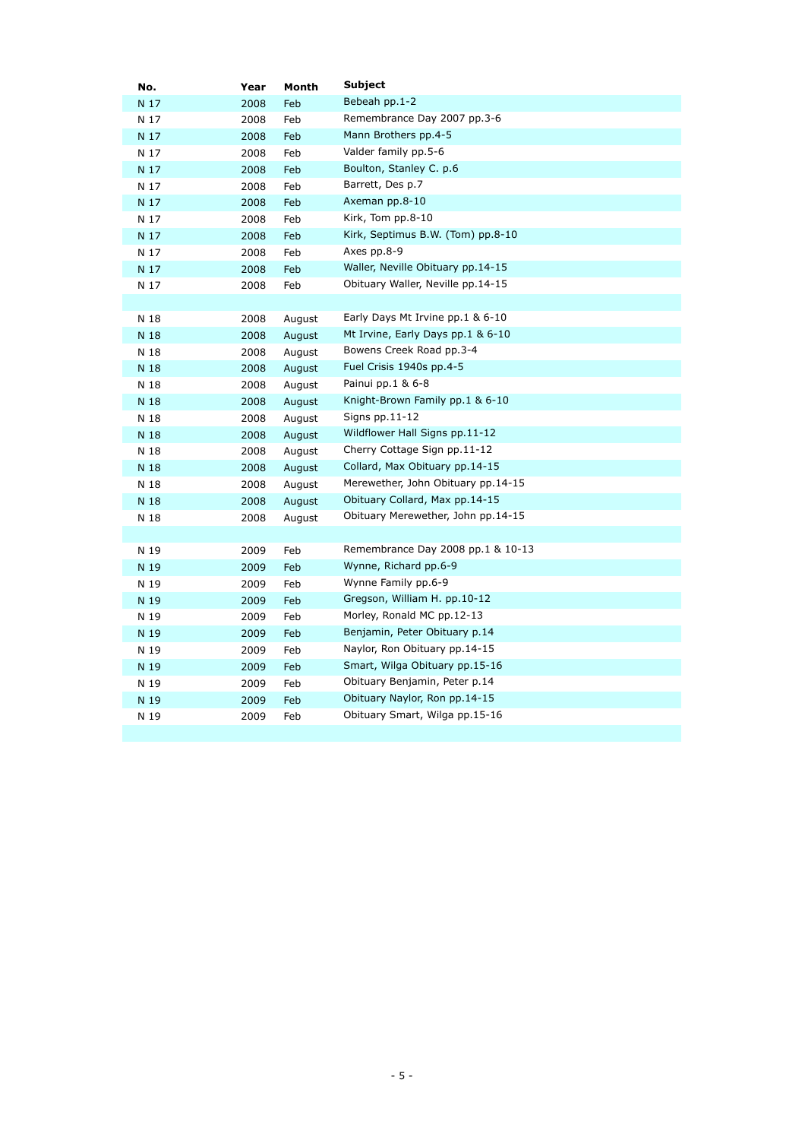| No.  | Year | Month  | Subject                            |
|------|------|--------|------------------------------------|
| N 17 | 2008 | Feb    | Bebeah pp.1-2                      |
| N 17 | 2008 | Feb    | Remembrance Day 2007 pp.3-6        |
| N 17 | 2008 | Feb    | Mann Brothers pp.4-5               |
| N 17 | 2008 | Feb    | Valder family pp.5-6               |
| N 17 | 2008 | Feb    | Boulton, Stanley C. p.6            |
| N 17 | 2008 | Feb    | Barrett, Des p.7                   |
| N 17 | 2008 | Feb    | Axeman pp.8-10                     |
| N 17 | 2008 | Feb    | Kirk, Tom pp.8-10                  |
| N 17 | 2008 | Feb    | Kirk, Septimus B.W. (Tom) pp.8-10  |
| N 17 | 2008 | Feb    | Axes pp.8-9                        |
| N 17 | 2008 | Feb    | Waller, Neville Obituary pp.14-15  |
| N 17 | 2008 | Feb    | Obituary Waller, Neville pp.14-15  |
|      |      |        |                                    |
| N 18 | 2008 | August | Early Days Mt Irvine pp.1 & 6-10   |
| N 18 | 2008 | August | Mt Irvine, Early Days pp.1 & 6-10  |
| N 18 | 2008 | August | Bowens Creek Road pp.3-4           |
| N 18 | 2008 | August | Fuel Crisis 1940s pp.4-5           |
| N 18 | 2008 | August | Painui pp.1 & 6-8                  |
| N 18 | 2008 | August | Knight-Brown Family pp.1 & 6-10    |
| N 18 | 2008 | August | Signs $pp.11-12$                   |
| N 18 | 2008 | August | Wildflower Hall Signs pp.11-12     |
| N 18 | 2008 | August | Cherry Cottage Sign pp.11-12       |
| N 18 | 2008 | August | Collard, Max Obituary pp.14-15     |
| N 18 | 2008 | August | Merewether, John Obituary pp.14-15 |
| N 18 | 2008 | August | Obituary Collard, Max pp.14-15     |
| N 18 | 2008 | August | Obituary Merewether, John pp.14-15 |
|      |      |        |                                    |
| N 19 | 2009 | Feb    | Remembrance Day 2008 pp.1 & 10-13  |
| N 19 | 2009 | Feb    | Wynne, Richard pp.6-9              |
| N 19 | 2009 | Feb    | Wynne Family pp.6-9                |
| N 19 | 2009 | Feb    | Gregson, William H. pp.10-12       |
| N 19 | 2009 | Feb    | Morley, Ronald MC pp.12-13         |
| N 19 | 2009 | Feb    | Benjamin, Peter Obituary p.14      |
| N 19 | 2009 | Feb    | Naylor, Ron Obituary pp.14-15      |
| N 19 | 2009 | Feb    | Smart, Wilga Obituary pp.15-16     |
| N 19 | 2009 | Feb    | Obituary Benjamin, Peter p.14      |
| N 19 | 2009 | Feb    | Obituary Naylor, Ron pp.14-15      |
| N 19 | 2009 | Feb    | Obituary Smart, Wilga pp.15-16     |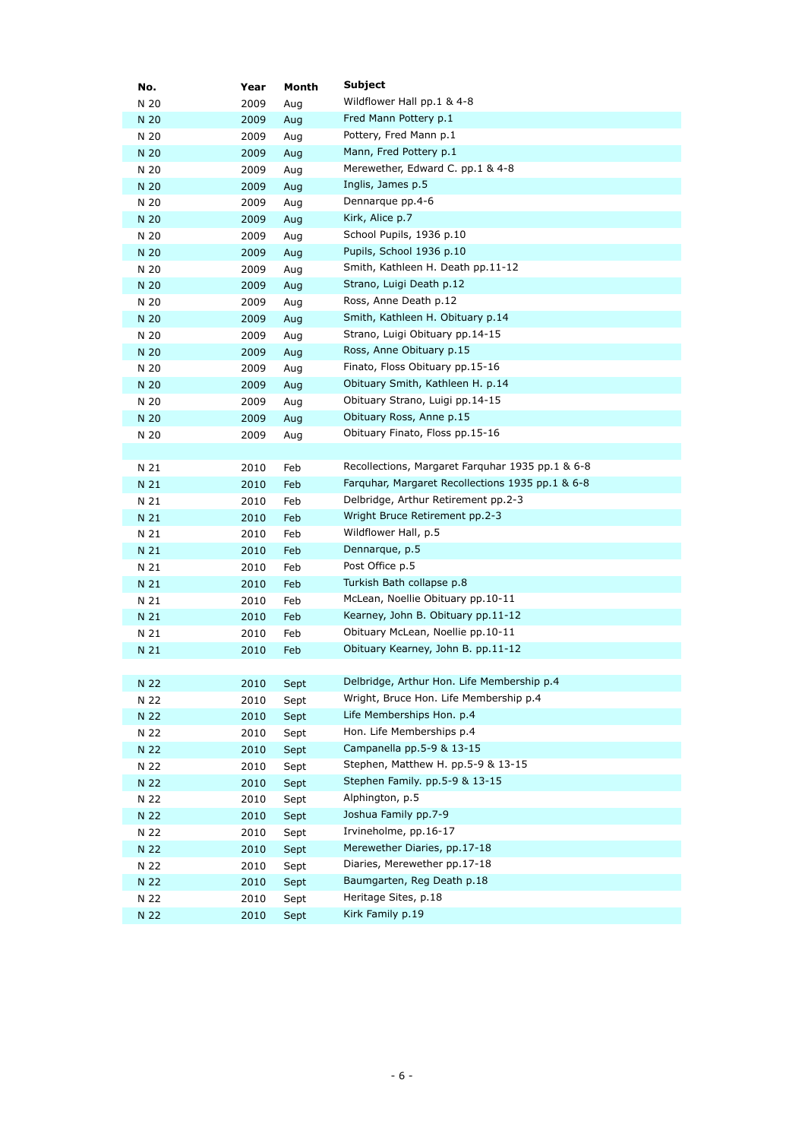| No.  | Year | Month | Subject                                          |
|------|------|-------|--------------------------------------------------|
| N 20 | 2009 | Aug   | Wildflower Hall pp.1 & 4-8                       |
| N 20 | 2009 | Aug   | Fred Mann Pottery p.1                            |
| N 20 | 2009 | Aug   | Pottery, Fred Mann p.1                           |
| N 20 | 2009 | Aug   | Mann, Fred Pottery p.1                           |
| N 20 | 2009 | Aug   | Merewether, Edward C. pp.1 & 4-8                 |
| N 20 | 2009 | Aug   | Inglis, James p.5                                |
| N 20 | 2009 | Aug   | Dennarque pp.4-6                                 |
| N 20 | 2009 | Aug   | Kirk, Alice p.7                                  |
| N 20 | 2009 | Aug   | School Pupils, 1936 p.10                         |
| N 20 | 2009 | Aug   | Pupils, School 1936 p.10                         |
| N 20 | 2009 | Aug   | Smith, Kathleen H. Death pp.11-12                |
| N 20 | 2009 | Aug   | Strano, Luigi Death p.12                         |
| N 20 | 2009 | Aug   | Ross, Anne Death p.12                            |
| N 20 | 2009 | Aug   | Smith, Kathleen H. Obituary p.14                 |
| N 20 | 2009 | Aug   | Strano, Luigi Obituary pp.14-15                  |
| N 20 | 2009 | Aug   | Ross, Anne Obituary p.15                         |
| N 20 | 2009 | Aug   | Finato, Floss Obituary pp.15-16                  |
| N 20 | 2009 | Aug   | Obituary Smith, Kathleen H. p.14                 |
| N 20 | 2009 | Aug   | Obituary Strano, Luigi pp.14-15                  |
| N 20 | 2009 | Aug   | Obituary Ross, Anne p.15                         |
| N 20 | 2009 | Aug   | Obituary Finato, Floss pp.15-16                  |
|      |      |       |                                                  |
| N 21 | 2010 | Feb   | Recollections, Margaret Farquhar 1935 pp.1 & 6-8 |
| N 21 | 2010 | Feb   | Farquhar, Margaret Recollections 1935 pp.1 & 6-8 |
| N 21 | 2010 | Feb   | Delbridge, Arthur Retirement pp.2-3              |
| N 21 | 2010 | Feb   | Wright Bruce Retirement pp.2-3                   |
| N 21 | 2010 | Feb   | Wildflower Hall, p.5                             |
| N 21 | 2010 | Feb   | Dennarque, p.5                                   |
| N 21 | 2010 | Feb   | Post Office p.5                                  |
| N 21 | 2010 | Feb   | Turkish Bath collapse p.8                        |
| N 21 | 2010 | Feb   | McLean, Noellie Obituary pp.10-11                |
| N 21 | 2010 | Feb   | Kearney, John B. Obituary pp.11-12               |
| N 21 | 2010 | Feb   | Obituary McLean, Noellie pp.10-11                |
| N 21 | 2010 | Feb   | Obituary Kearney, John B. pp.11-12               |
|      |      |       |                                                  |
| N 22 | 2010 | Sept  | Delbridge, Arthur Hon. Life Membership p.4       |
| N 22 | 2010 | Sept  | Wright, Bruce Hon. Life Membership p.4           |
| N 22 | 2010 | Sept  | Life Memberships Hon. p.4                        |
| N 22 | 2010 | Sept  | Hon. Life Memberships p.4                        |
| N 22 | 2010 | Sept  | Campanella pp.5-9 & 13-15                        |
| N 22 | 2010 | Sept  | Stephen, Matthew H. pp.5-9 & 13-15               |
| N 22 | 2010 | Sept  | Stephen Family. pp.5-9 & 13-15                   |
| N 22 | 2010 | Sept  | Alphington, p.5                                  |
| N 22 | 2010 | Sept  | Joshua Family pp.7-9                             |
| N 22 | 2010 | Sept  | Irvineholme, pp.16-17                            |
| N 22 | 2010 | Sept  | Merewether Diaries, pp.17-18                     |
| N 22 | 2010 | Sept  | Diaries, Merewether pp.17-18                     |
| N 22 | 2010 | Sept  | Baumgarten, Reg Death p.18                       |
| N 22 | 2010 | Sept  | Heritage Sites, p.18                             |
| N 22 | 2010 | Sept  | Kirk Family p.19                                 |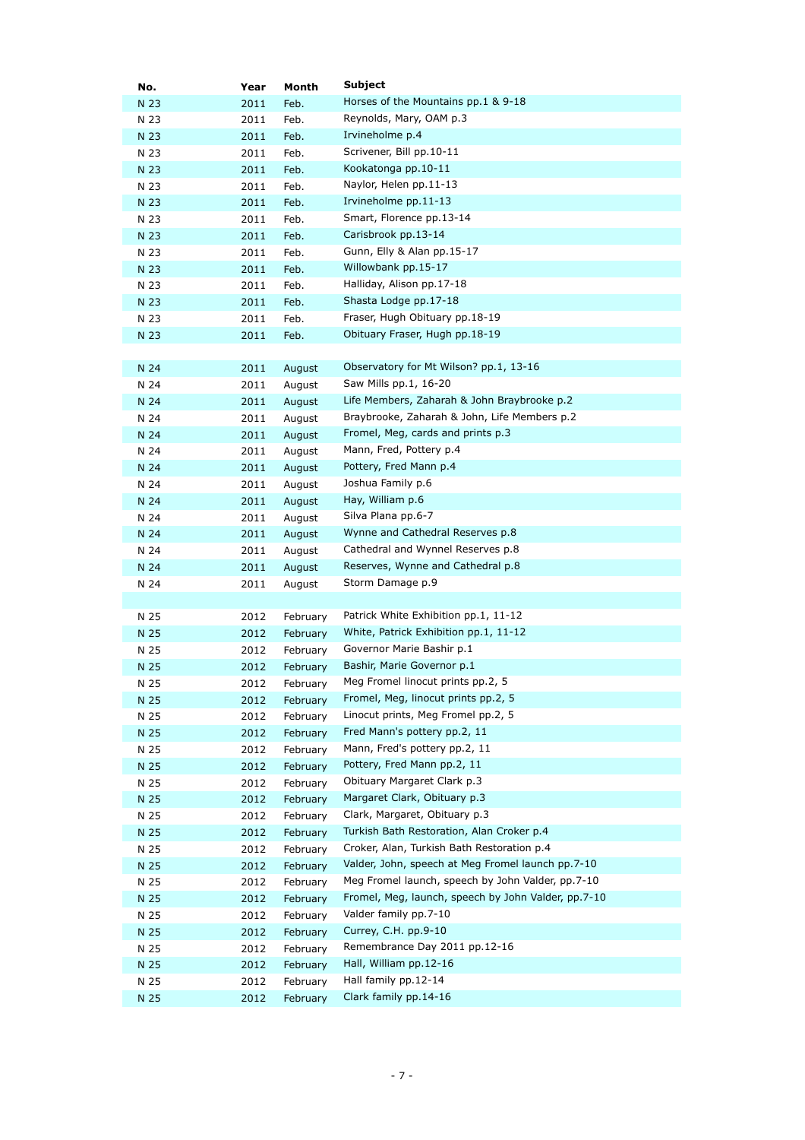| No.  | Year | Month    | Subject                                             |
|------|------|----------|-----------------------------------------------------|
| N 23 | 2011 | Feb.     | Horses of the Mountains pp.1 & 9-18                 |
| N 23 | 2011 | Feb.     | Reynolds, Mary, OAM p.3                             |
| N 23 | 2011 | Feb.     | Irvineholme p.4                                     |
| N 23 | 2011 | Feb.     | Scrivener, Bill pp.10-11                            |
| N 23 | 2011 | Feb.     | Kookatonga pp.10-11                                 |
| N 23 | 2011 | Feb.     | Naylor, Helen pp.11-13                              |
| N 23 | 2011 | Feb.     | Irvineholme pp.11-13                                |
| N 23 | 2011 | Feb.     | Smart, Florence pp.13-14                            |
| N 23 | 2011 | Feb.     | Carisbrook pp.13-14                                 |
| N 23 | 2011 | Feb.     | Gunn, Elly & Alan pp.15-17                          |
| N 23 | 2011 | Feb.     | Willowbank pp.15-17                                 |
| N 23 | 2011 | Feb.     | Halliday, Alison pp.17-18                           |
| N 23 | 2011 | Feb.     | Shasta Lodge pp.17-18                               |
| N 23 | 2011 | Feb.     | Fraser, Hugh Obituary pp.18-19                      |
| N 23 | 2011 | Feb.     | Obituary Fraser, Hugh pp.18-19                      |
|      |      |          |                                                     |
| N 24 | 2011 | August   | Observatory for Mt Wilson? pp.1, 13-16              |
| N 24 | 2011 | August   | Saw Mills pp.1, 16-20                               |
| N 24 | 2011 | August   | Life Members, Zaharah & John Braybrooke p.2         |
| N 24 | 2011 | August   | Braybrooke, Zaharah & John, Life Members p.2        |
| N 24 | 2011 | August   | Fromel, Meg, cards and prints p.3                   |
| N 24 | 2011 | August   | Mann, Fred, Pottery p.4                             |
| N 24 | 2011 | August   | Pottery, Fred Mann p.4                              |
| N 24 | 2011 | August   | Joshua Family p.6                                   |
| N 24 | 2011 | August   | Hay, William p.6                                    |
| N 24 | 2011 | August   | Silva Plana pp.6-7                                  |
| N 24 | 2011 | August   | Wynne and Cathedral Reserves p.8                    |
| N 24 | 2011 | August   | Cathedral and Wynnel Reserves p.8                   |
| N 24 | 2011 | August   | Reserves, Wynne and Cathedral p.8                   |
| N 24 | 2011 | August   | Storm Damage p.9                                    |
|      |      |          |                                                     |
| N 25 | 2012 | February | Patrick White Exhibition pp.1, 11-12                |
| N 25 | 2012 | February | White, Patrick Exhibition pp.1, 11-12               |
| N 25 | 2012 | February | Governor Marie Bashir p.1                           |
| N 25 | 2012 | February | Bashir, Marie Governor p.1                          |
| N 25 | 2012 | February | Meg Fromel linocut prints pp.2, 5                   |
| N 25 | 2012 | February | Fromel, Meg, linocut prints pp.2, 5                 |
| N 25 | 2012 | February | Linocut prints, Meg Fromel pp.2, 5                  |
| N 25 | 2012 | February | Fred Mann's pottery pp.2, 11                        |
| N 25 | 2012 | February | Mann, Fred's pottery pp.2, 11                       |
| N 25 | 2012 | February | Pottery, Fred Mann pp.2, 11                         |
| N 25 | 2012 | February | Obituary Margaret Clark p.3                         |
| N 25 | 2012 | February | Margaret Clark, Obituary p.3                        |
| N 25 | 2012 | February | Clark, Margaret, Obituary p.3                       |
| N 25 | 2012 | February | Turkish Bath Restoration, Alan Croker p.4           |
| N 25 | 2012 | February | Croker, Alan, Turkish Bath Restoration p.4          |
| N 25 | 2012 | February | Valder, John, speech at Meg Fromel launch pp.7-10   |
| N 25 | 2012 | February | Meg Fromel launch, speech by John Valder, pp.7-10   |
| N 25 | 2012 | February | Fromel, Meg, launch, speech by John Valder, pp.7-10 |
| N 25 | 2012 | February | Valder family pp.7-10                               |
| N 25 | 2012 | February | Currey, C.H. pp.9-10                                |
| N 25 | 2012 | February | Remembrance Day 2011 pp.12-16                       |
| N 25 | 2012 | February | Hall, William pp.12-16                              |
| N 25 | 2012 | February | Hall family pp.12-14                                |
| N 25 | 2012 | February | Clark family pp.14-16                               |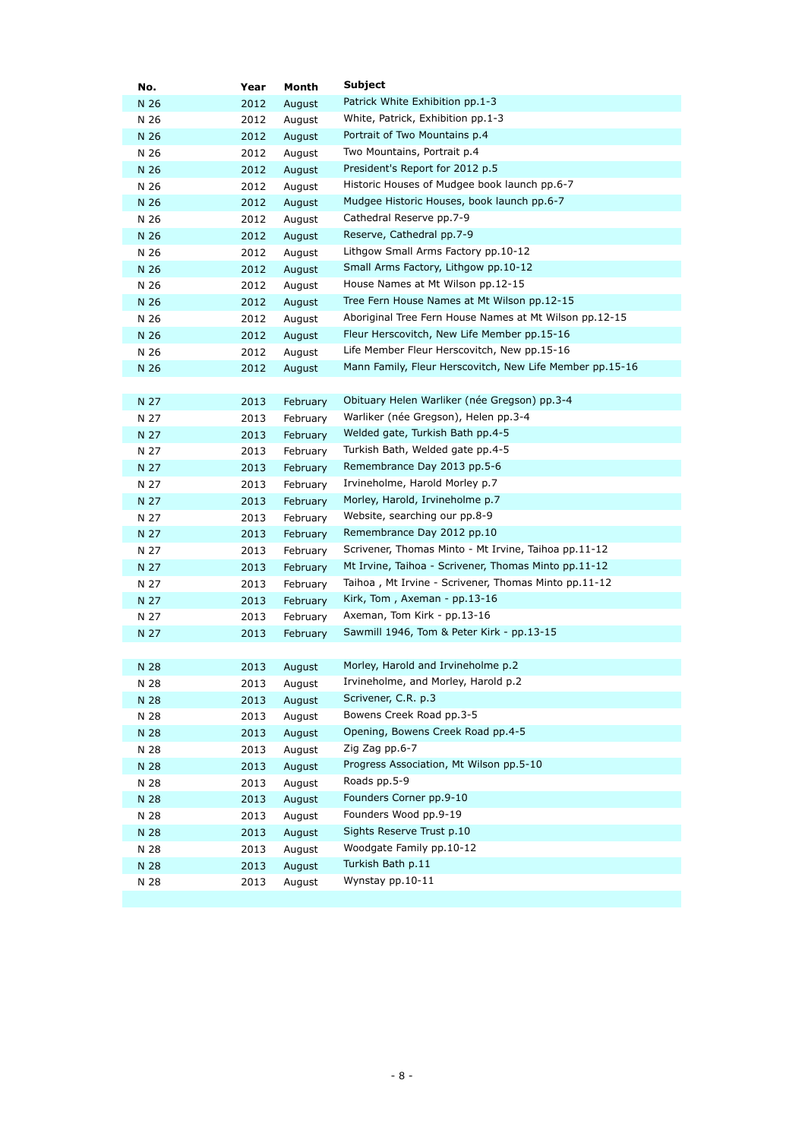| No.  | Year | Month    | Subject                                                  |
|------|------|----------|----------------------------------------------------------|
| N 26 | 2012 | August   | Patrick White Exhibition pp.1-3                          |
| N 26 | 2012 | August   | White, Patrick, Exhibition pp.1-3                        |
| N 26 | 2012 | August   | Portrait of Two Mountains p.4                            |
| N 26 | 2012 | August   | Two Mountains, Portrait p.4                              |
| N 26 | 2012 | August   | President's Report for 2012 p.5                          |
| N 26 | 2012 | August   | Historic Houses of Mudgee book launch pp.6-7             |
| N 26 | 2012 | August   | Mudgee Historic Houses, book launch pp.6-7               |
| N 26 | 2012 | August   | Cathedral Reserve pp.7-9                                 |
| N 26 | 2012 | August   | Reserve, Cathedral pp.7-9                                |
| N 26 | 2012 | August   | Lithgow Small Arms Factory pp.10-12                      |
| N 26 | 2012 | August   | Small Arms Factory, Lithgow pp.10-12                     |
| N 26 | 2012 | August   | House Names at Mt Wilson pp.12-15                        |
| N 26 | 2012 | August   | Tree Fern House Names at Mt Wilson pp.12-15              |
| N 26 | 2012 | August   | Aboriginal Tree Fern House Names at Mt Wilson pp.12-15   |
| N 26 | 2012 | August   | Fleur Herscovitch, New Life Member pp.15-16              |
| N 26 | 2012 | August   | Life Member Fleur Herscovitch, New pp.15-16              |
| N 26 | 2012 | August   | Mann Family, Fleur Herscovitch, New Life Member pp.15-16 |
|      |      |          |                                                          |
| N 27 | 2013 | February | Obituary Helen Warliker (née Gregson) pp.3-4             |
| N 27 | 2013 | February | Warliker (née Gregson), Helen pp.3-4                     |
| N 27 | 2013 | February | Welded gate, Turkish Bath pp.4-5                         |
| N 27 | 2013 | February | Turkish Bath, Welded gate pp.4-5                         |
| N 27 | 2013 | February | Remembrance Day 2013 pp.5-6                              |
| N 27 | 2013 | February | Irvineholme, Harold Morley p.7                           |
| N 27 | 2013 | February | Morley, Harold, Irvineholme p.7                          |
| N 27 | 2013 | February | Website, searching our pp.8-9                            |
| N 27 | 2013 | February | Remembrance Day 2012 pp.10                               |
| N 27 | 2013 | February | Scrivener, Thomas Minto - Mt Irvine, Taihoa pp.11-12     |
| N 27 | 2013 | February | Mt Irvine, Taihoa - Scrivener, Thomas Minto pp.11-12     |
| N 27 | 2013 | February | Taihoa, Mt Irvine - Scrivener, Thomas Minto pp.11-12     |
| N 27 | 2013 | February | Kirk, Tom, Axeman - pp.13-16                             |
| N 27 | 2013 | February | Axeman, Tom Kirk - pp.13-16                              |
| N 27 | 2013 | February | Sawmill 1946, Tom & Peter Kirk - pp.13-15                |
|      |      |          |                                                          |
| N 28 | 2013 | August   | Morley, Harold and Irvineholme p.2                       |
| N 28 | 2013 | August   | Irvineholme, and Morley, Harold p.2                      |
| N 28 | 2013 | August   | Scrivener, C.R. p.3                                      |
| N 28 | 2013 | August   | Bowens Creek Road pp.3-5                                 |
| N 28 | 2013 | August   | Opening, Bowens Creek Road pp.4-5                        |
| N 28 | 2013 | August   | Zig Zag pp.6-7                                           |
| N 28 | 2013 | August   | Progress Association, Mt Wilson pp.5-10                  |
| N 28 | 2013 | August   | Roads pp.5-9                                             |
| N 28 | 2013 | August   | Founders Corner pp.9-10                                  |
| N 28 | 2013 | August   | Founders Wood pp.9-19                                    |
| N 28 | 2013 | August   | Sights Reserve Trust p.10                                |
| N 28 | 2013 | August   | Woodgate Family pp.10-12                                 |
| N 28 | 2013 | August   | Turkish Bath p.11                                        |
| N 28 | 2013 | August   | Wynstay pp.10-11                                         |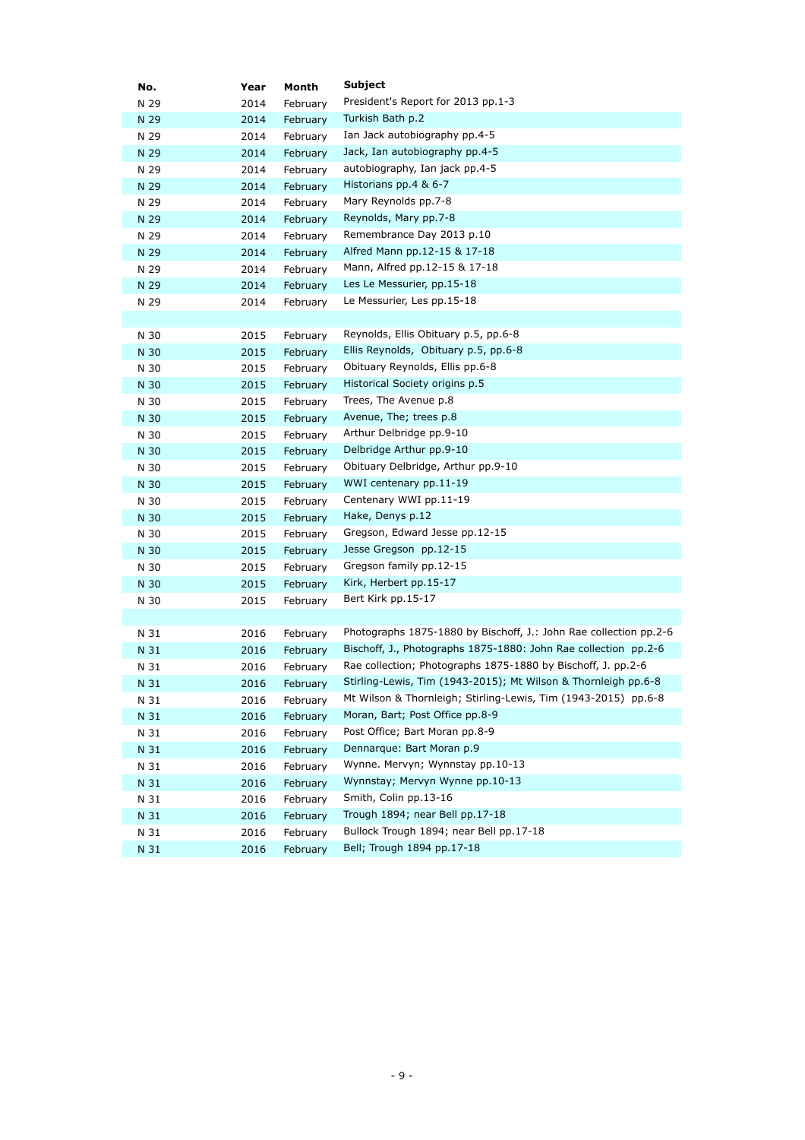| No.          | Year         | Month                | <b>Subject</b>                                                    |
|--------------|--------------|----------------------|-------------------------------------------------------------------|
| N 29         | 2014         | February             | President's Report for 2013 pp.1-3                                |
| N 29         | 2014         | February             | Turkish Bath p.2                                                  |
| N 29         | 2014         | February             | Ian Jack autobiography pp.4-5                                     |
| N 29         | 2014         | February             | Jack, Ian autobiography pp.4-5                                    |
| N 29         | 2014         | February             | autobiography, Ian jack pp.4-5                                    |
| N 29         | 2014         | February             | Historians pp.4 & 6-7                                             |
| N 29         | 2014         | February             | Mary Reynolds pp.7-8                                              |
| N 29         | 2014         | February             | Reynolds, Mary pp.7-8                                             |
| N 29         | 2014         | February             | Remembrance Day 2013 p.10                                         |
| N 29         | 2014         | February             | Alfred Mann pp.12-15 & 17-18                                      |
| N 29         | 2014         | February             | Mann, Alfred pp.12-15 & 17-18                                     |
| N 29         | 2014         | February             | Les Le Messurier, pp.15-18                                        |
| N 29         | 2014         | February             | Le Messurier, Les pp.15-18                                        |
|              |              |                      |                                                                   |
| N 30         | 2015         | February             | Reynolds, Ellis Obituary p.5, pp.6-8                              |
| N 30         | 2015         | February             | Ellis Reynolds, Obituary p.5, pp.6-8                              |
| N 30         | 2015         | February             | Obituary Reynolds, Ellis pp.6-8                                   |
| N 30         | 2015         | February             | Historical Society origins p.5                                    |
| N 30         | 2015         | February             | Trees, The Avenue p.8                                             |
| N 30         | 2015         | February             | Avenue, The; trees p.8                                            |
| N 30         | 2015         | February             | Arthur Delbridge pp.9-10                                          |
| N 30         | 2015         | February             | Delbridge Arthur pp.9-10                                          |
| N 30         | 2015         | February             | Obituary Delbridge, Arthur pp.9-10                                |
| N 30         | 2015         | February             | WWI centenary pp.11-19                                            |
| N 30         | 2015         | February             | Centenary WWI pp.11-19                                            |
| N 30         | 2015         | February             | Hake, Denys p.12                                                  |
| N 30         | 2015         | February             | Gregson, Edward Jesse pp.12-15                                    |
| N 30         | 2015         | February             | Jesse Gregson pp.12-15                                            |
| N 30         | 2015         | February             | Gregson family pp.12-15                                           |
| N 30         | 2015         | February             | Kirk, Herbert pp.15-17                                            |
| N 30         | 2015         | February             | Bert Kirk pp.15-17                                                |
|              |              |                      | Photographs 1875-1880 by Bischoff, J.: John Rae collection pp.2-6 |
| N 31         | 2016         | February             | Bischoff, J., Photographs 1875-1880: John Rae collection pp.2-6   |
| N 31<br>N 31 | 2016<br>2016 | February             | Rae collection; Photographs 1875-1880 by Bischoff, J. pp.2-6      |
| N 31         |              | February             | Stirling-Lewis, Tim (1943-2015); Mt Wilson & Thornleigh pp.6-8    |
|              | 2016         | February             | Mt Wilson & Thornleigh; Stirling-Lewis, Tim (1943-2015) pp.6-8    |
| N 31<br>N 31 | 2016<br>2016 | February<br>February | Moran, Bart; Post Office pp.8-9                                   |
| N 31         | 2016         |                      | Post Office; Bart Moran pp.8-9                                    |
| N 31         | 2016         | February<br>February | Dennarque: Bart Moran p.9                                         |
| N 31         | 2016         | February             | Wynne. Mervyn; Wynnstay pp.10-13                                  |
| N 31         | 2016         | February             | Wynnstay; Mervyn Wynne pp.10-13                                   |
| N 31         | 2016         | February             | Smith, Colin pp.13-16                                             |
| N 31         | 2016         | February             | Trough 1894; near Bell pp.17-18                                   |
| N 31         | 2016         | February             | Bullock Trough 1894; near Bell pp.17-18                           |
| N 31         | 2016         | February             | Bell; Trough 1894 pp.17-18                                        |